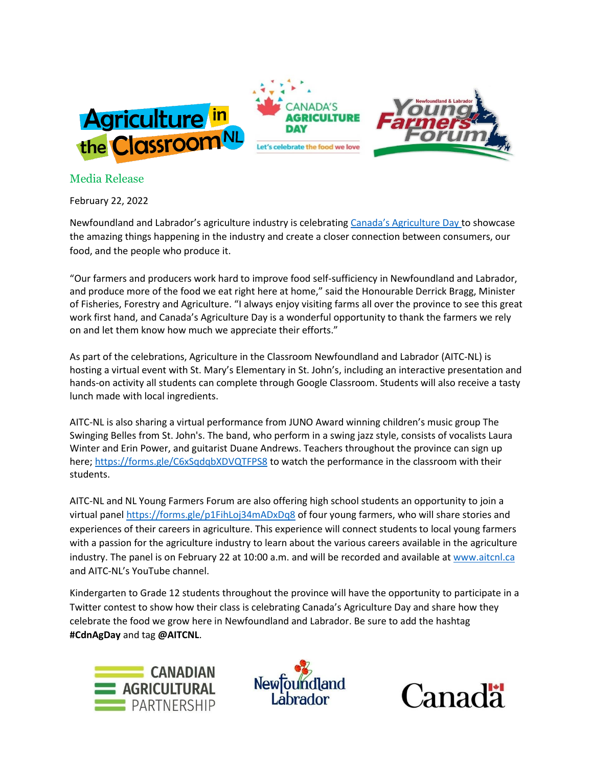

## Media Release

February 22, 2022

Newfoundland and Labrador's agriculture industry is celebrating [Canada's Agriculture Day](http://www.agday.ca/) to showcase the amazing things happening in the industry and create a closer connection between consumers, our food, and the people who produce it.

"Our farmers and producers work hard to improve food self-sufficiency in Newfoundland and Labrador, and produce more of the food we eat right here at home," said the Honourable Derrick Bragg, Minister of Fisheries, Forestry and Agriculture. "I always enjoy visiting farms all over the province to see this great work first hand, and Canada's Agriculture Day is a wonderful opportunity to thank the farmers we rely on and let them know how much we appreciate their efforts."

As part of the celebrations, Agriculture in the Classroom Newfoundland and Labrador (AITC-NL) is hosting a virtual event with St. Mary's Elementary in St. John's, including an interactive presentation and hands-on activity all students can complete through Google Classroom. Students will also receive a tasty lunch made with local ingredients.

AITC-NL is also sharing a virtual performance from JUNO Award winning children's music group The Swinging Belles from St. John's. The band, who perform in a swing jazz style, consists of vocalists Laura Winter and Erin Power, and guitarist Duane Andrews. Teachers throughout the province can sign up here; <https://forms.gle/C6xSqdqbXDVQTFPS8> to watch the performance in the classroom with their students.

AITC-NL and NL Young Farmers Forum are also offering high school students an opportunity to join a virtual pane[l https://forms.gle/p1FihLoj34mADxDq8](https://forms.gle/p1FihLoj34mADxDq8) of four young farmers, who will share stories and experiences of their careers in agriculture. This experience will connect students to local young farmers with a passion for the agriculture industry to learn about the various careers available in the agriculture industry. The panel is on February 22 at 10:00 a.m. and will be recorded and available at [www.aitcnl.ca](http://www.aitcnl.ca/) and AITC-NL's YouTube channel.

Kindergarten to Grade 12 students throughout the province will have the opportunity to participate in a Twitter contest to show how their class is celebrating Canada's Agriculture Day and share how they celebrate the food we grow here in Newfoundland and Labrador. Be sure to add the hashtag **#CdnAgDay** and tag **@AITCNL**.